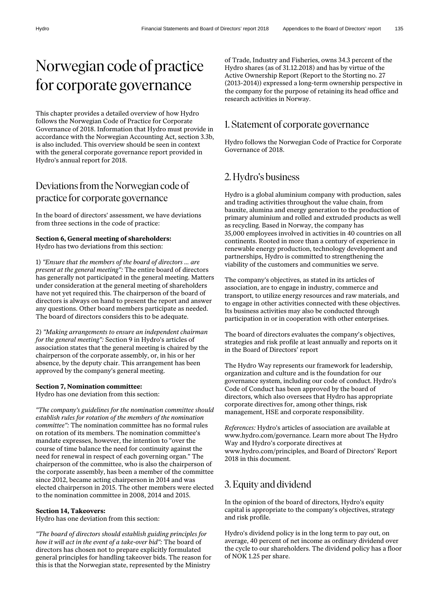# Norwegian code of practice for corporate governance

This chapter provides a detailed overview of how Hydro follows the Norwegian Code of Practice for Corporate Governance of 2018. Information that Hydro must provide in accordance with the Norwegian Accounting Act, section 3.3b, is also included. This overview should be seen in context with the general corporate governance report provided in Hydro's annual report for 2018.

# Deviations from the Norwegian code of practice for corporate governance

In the board of directors' assessment, we have deviations from three sections in the code of practice:

#### **Section 6, General meeting of shareholders:** Hydro has two deviations from this section:

1) *"Ensure that the members of the board of directors ... are present at the general meeting":* The entire board of directors has generally not participated in the general meeting. Matters under consideration at the general meeting of shareholders have not yet required this. The chairperson of the board of directors is always on hand to present the report and answer any questions. Other board members participate as needed. The board of directors considers this to be adequate.

2) *"Making arrangements to ensure an independent chairman for the general meeting":* Section 9 in Hydro's articles of association states that the general meeting is chaired by the chairperson of the corporate assembly, or, in his or her absence, by the deputy chair. This arrangement has been approved by the company's general meeting.

#### **Section 7, Nomination committee:**

Hydro has one deviation from this section:

*"The company's guidelines for the nomination committee should establish rules for rotation of the members of the nomination committee":* The nomination committee has no formal rules on rotation of its members. The nomination committee's mandate expresses, however, the intention to "over the course of time balance the need for continuity against the need for renewal in respect of each governing organ." The chairperson of the committee, who is also the chairperson of the corporate assembly, has been a member of the committee since 2012, became acting chairperson in 2014 and was elected chairperson in 2015. The other members were elected to the nomination committee in 2008, 2014 and 2015.

#### **Section 14, Takeovers:**

Hydro has one deviation from this section:

*"The board of directors should establish guiding principles for how it will act in the event of a take-over bid":* The board of directors has chosen not to prepare explicitly formulated general principles for handling takeover bids. The reason for this is that the Norwegian state, represented by the Ministry

of Trade, Industry and Fisheries, owns 34.3 percent of the Hydro shares (as of 31.12.2018) and has by virtue of the Active Ownership Report (Report to the Storting no. 27 (2013-2014)) expressed a long-term ownership perspective in the company for the purpose of retaining its head office and research activities in Norway.

### 1. Statement of corporate governance

Hydro follows the Norwegian Code of Practice for Corporate Governance of 2018.

# 2. Hydro's business

Hydro is a global aluminium company with production, sales and trading activities throughout the value chain, from bauxite, alumina and energy generation to the production of primary aluminium and rolled and extruded products as well as recycling. Based in Norway, the company has 35,000 employees involved in activities in 40 countries on all continents. Rooted in more than a century of experience in renewable energy production, technology development and partnerships, Hydro is committed to strengthening the viability of the customers and communities we serve.

The company's objectives, as stated in its articles of association, are to engage in industry, commerce and transport, to utilize energy resources and raw materials, and to engage in other activities connected with these objectives. Its business activities may also be conducted through participation in or in cooperation with other enterprises.

The board of directors evaluates the company's objectives, strategies and risk profile at least annually and reports on it in the Board of Directors' report

The Hydro Way represents our framework for leadership, organization and culture and is the foundation for our governance system, including our code of conduct. Hydro's Code of Conduct has been approved by the board of directors, which also oversees that Hydro has appropriate corporate directives for, among other things, risk management, HSE and corporate responsibility.

*References:* Hydro's articles of association are available at www.hydro.com/governance. Learn more about The Hydro Way and Hydro's corporate directives at www.hydro.com/principles, and Board of Directors' Report 2018 in this document.

# 3. Equity and dividend

In the opinion of the board of directors, Hydro's equity capital is appropriate to the company's objectives, strategy and risk profile.

Hydro's dividend policy is in the long term to pay out, on average, 40 percent of net income as ordinary dividend over the cycle to our shareholders. The dividend policy has a floor of NOK 1.25 per share.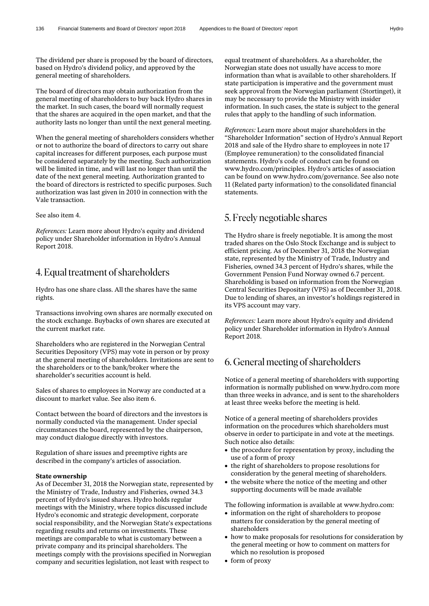The dividend per share is proposed by the board of directors, based on Hydro's dividend policy, and approved by the general meeting of shareholders.

The board of directors may obtain authorization from the general meeting of shareholders to buy back Hydro shares in the market. In such cases, the board will normally request that the shares are acquired in the open market, and that the authority lasts no longer than until the next general meeting.

When the general meeting of shareholders considers whether or not to authorize the board of directors to carry out share capital increases for different purposes, each purpose must be considered separately by the meeting. Such authorization will be limited in time, and will last no longer than until the date of the next general meeting. Authorization granted to the board of directors is restricted to specific purposes. Such authorization was last given in 2010 in connection with the Vale transaction.

See also item 4.

*References:* Learn more about Hydro's equity and dividend policy under Shareholder information in Hydro's Annual Report 2018.

### 4. Equal treatment of shareholders

Hydro has one share class. All the shares have the same rights.

Transactions involving own shares are normally executed on the stock exchange. Buybacks of own shares are executed at the current market rate.

Shareholders who are registered in the Norwegian Central Securities Depository (VPS) may vote in person or by proxy at the general meeting of shareholders. Invitations are sent to the shareholders or to the bank/broker where the shareholder's securities account is held.

Sales of shares to employees in Norway are conducted at a discount to market value. See also item 6.

Contact between the board of directors and the investors is normally conducted via the management. Under special circumstances the board, represented by the chairperson, may conduct dialogue directly with investors.

Regulation of share issues and preemptive rights are described in the company's articles of association.

#### **State ownership**

As of December 31, 2018 the Norwegian state, represented by the Ministry of Trade, Industry and Fisheries, owned 34.3 percent of Hydro's issued shares. Hydro holds regular meetings with the Ministry, where topics discussed include Hydro's economic and strategic development, corporate social responsibility, and the Norwegian State's expectations regarding results and returns on investments. These meetings are comparable to what is customary between a private company and its principal shareholders. The meetings comply with the provisions specified in Norwegian company and securities legislation, not least with respect to

equal treatment of shareholders. As a shareholder, the Norwegian state does not usually have access to more information than what is available to other shareholders. If state participation is imperative and the government must seek approval from the Norwegian parliament (Stortinget), it may be necessary to provide the Ministry with insider information. In such cases, the state is subject to the general rules that apply to the handling of such information.

*References:* Learn more about major shareholders in the "Shareholder Information" section of Hydro's Annual Report 2018 and sale of the Hydro share to employees in note 17 (Employee remuneration) to the consolidated financial statements. Hydro's code of conduct can be found on www.hydro.com/principles. Hydro's articles of association can be found on www.hydro.com/governance. See also note 11 (Related party information) to the consolidated financial statements.

## 5. Freely negotiable shares

The Hydro share is freely negotiable. It is among the most traded shares on the Oslo Stock Exchange and is subject to efficient pricing. As of December 31, 2018 the Norwegian state, represented by the Ministry of Trade, Industry and Fisheries, owned 34.3 percent of Hydro's shares, while the Government Pension Fund Norway owned 6.7 percent. Shareholding is based on information from the Norwegian Central Securities Depositary (VPS) as of December 31, 2018. Due to lending of shares, an investor's holdings registered in its VPS account may vary.

*References:* Learn more about Hydro's equity and dividend policy under Shareholder information in Hydro's Annual Report 2018.

### 6. General meeting of shareholders

Notice of a general meeting of shareholders with supporting information is normally published on www.hydro.com more than three weeks in advance, and is sent to the shareholders at least three weeks before the meeting is held.

Notice of a general meeting of shareholders provides information on the procedures which shareholders must observe in order to participate in and vote at the meetings. Such notice also details:

- the procedure for representation by proxy, including the use of a form of proxy
- the right of shareholders to propose resolutions for consideration by the general meeting of shareholders.
- the website where the notice of the meeting and other supporting documents will be made available

The following information is available at www.hydro.com:

- information on the right of shareholders to propose matters for consideration by the general meeting of shareholders
- how to make proposals for resolutions for consideration by the general meeting or how to comment on matters for which no resolution is proposed
- form of proxy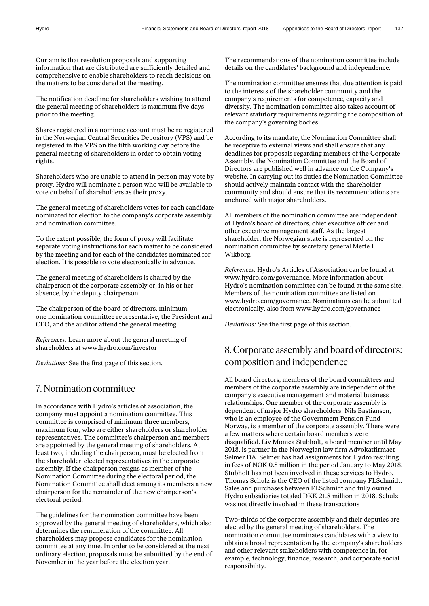Our aim is that resolution proposals and supporting information that are distributed are sufficiently detailed and comprehensive to enable shareholders to reach decisions on the matters to be considered at the meeting.

The notification deadline for shareholders wishing to attend the general meeting of shareholders is maximum five days prior to the meeting.

Shares registered in a nominee account must be re-registered in the Norwegian Central Securities Depository (VPS) and be registered in the VPS on the fifth working day before the general meeting of shareholders in order to obtain voting rights.

Shareholders who are unable to attend in person may vote by proxy. Hydro will nominate a person who will be available to vote on behalf of shareholders as their proxy.

The general meeting of shareholders votes for each candidate nominated for election to the company's corporate assembly and nomination committee.

To the extent possible, the form of proxy will facilitate separate voting instructions for each matter to be considered by the meeting and for each of the candidates nominated for election. It is possible to vote electronically in advance.

The general meeting of shareholders is chaired by the chairperson of the corporate assembly or, in his or her absence, by the deputy chairperson.

The chairperson of the board of directors, minimum one nomination committee representative, the President and CEO**,** and the auditor attend the general meeting.

*References:* Learn more about the general meeting of shareholders at www.hydro.com/investor

*Deviations:* See the first page of this section.

### 7.Nomination committee

In accordance with Hydro's articles of association, the company must appoint a nomination committee. This committee is comprised of minimum three members, maximum four, who are either shareholders or shareholder representatives. The committee's chairperson and members are appointed by the general meeting of shareholders. At least two, including the chairperson, must be elected from the shareholder-elected representatives in the corporate assembly. If the chairperson resigns as member of the Nomination Committee during the electoral period, the Nomination Committee shall elect among its members a new chairperson for the remainder of the new chairperson's electoral period.

The guidelines for the nomination committee have been approved by the general meeting of shareholders, which also determines the remuneration of the committee. All shareholders may propose candidates for the nomination committee at any time. In order to be considered at the next ordinary election, proposals must be submitted by the end of November in the year before the election year.

The recommendations of the nomination committee include details on the candidates' background and independence.

The nomination committee ensures that due attention is paid to the interests of the shareholder community and the company's requirements for competence, capacity and diversity. The nomination committee also takes account of relevant statutory requirements regarding the composition of the company's governing bodies.

According to its mandate, the Nomination Committee shall be receptive to external views and shall ensure that any deadlines for proposals regarding members of the Corporate Assembly, the Nomination Committee and the Board of Directors are published well in advance on the Company's website. In carrying out its duties the Nomination Committee should actively maintain contact with the shareholder community and should ensure that its recommendations are anchored with major shareholders.

All members of the nomination committee are independent of Hydro's board of directors, chief executive officer and other executive management staff. As the largest shareholder, the Norwegian state is represented on the nomination committee by secretary general Mette I. Wikborg.

*References:* Hydro's Articles of Association can be found at www.hydro.com/governance. More information about Hydro's nomination committee can be found at the same site. Members of the nomination committee are listed on www.hydro.com/governance. Nominations can be submitted electronically, also from www.hydro.com/governance

*Deviations:* See the first page of this section.

# 8.Corporate assembly and board of directors: composition and independence

All board directors, members of the board committees and members of the corporate assembly are independent of the company's executive management and material business relationships. One member of the corporate assembly is dependent of major Hydro shareholders: Nils Bastiansen, who is an employee of the Government Pension Fund Norway, is a member of the corporate assembly. There were a few matters where certain board members were disqualified. Liv Monica Stubholt, a board member until May 2018, is partner in the Norwegian law firm Advokatfirmaet Selmer DA. Selmer has had assignments for Hydro resulting in fees of NOK 0.5 million in the period January to May 2018. Stubholt has not been involved in these services to Hydro. Thomas Schulz is the CEO of the listed company FLSchmidt. Sales and purchases between FLSchmidt and fully owned Hydro subsidiaries totaled DKK 21.8 million in 2018. Schulz was not directly involved in these transactions

Two-thirds of the corporate assembly and their deputies are elected by the general meeting of shareholders. The nomination committee nominates candidates with a view to obtain a broad representation by the company's shareholders and other relevant stakeholders with competence in, for example, technology, finance, research, and corporate social responsibility.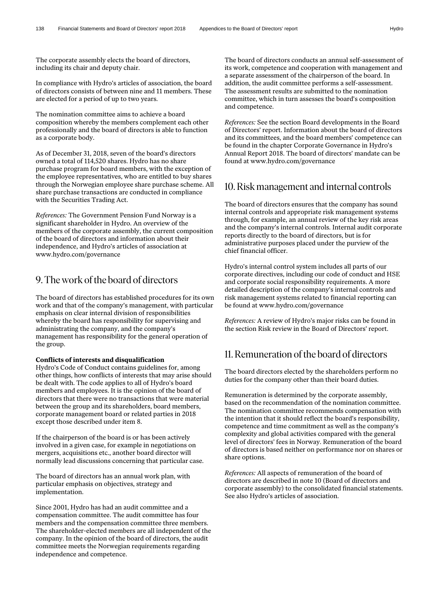The corporate assembly elects the board of directors, including its chair and deputy chair.

In compliance with Hydro's articles of association, the board of directors consists of between nine and 11 members. These are elected for a period of up to two years.

The nomination committee aims to achieve a board composition whereby the members complement each other professionally and the board of directors is able to function as a corporate body.

As of December 31, 2018, seven of the board's directors owned a total of 114,520 shares. Hydro has no share purchase program for board members, with the exception of the employee representatives, who are entitled to buy shares through the Norwegian employee share purchase scheme. All share purchase transactions are conducted in compliance with the Securities Trading Act.

*References:* The Government Pension Fund Norway is a significant shareholder in Hydro. An overview of the members of the corporate assembly, the current composition of the board of directors and information about their independence, and Hydro's articles of association at www.hydro.com/governance

### 9. The work of the board of directors

The board of directors has established procedures for its own work and that of the company's management, with particular emphasis on clear internal division of responsibilities whereby the board has responsibility for supervising and administrating the company, and the company's management has responsibility for the general operation of the group.

#### **Conflicts of interests and disqualification**

Hydro's Code of Conduct contains guidelines for, among other things, how conflicts of interests that may arise should be dealt with. The code applies to all of Hydro's board members and employees. It is the opinion of the board of directors that there were no transactions that were material between the group and its shareholders, board members, corporate management board or related parties in 2018 except those described under item 8.

If the chairperson of the board is or has been actively involved in a given case, for example in negotiations on mergers, acquisitions etc., another board director will normally lead discussions concerning that particular case.

The board of directors has an annual work plan, with particular emphasis on objectives, strategy and implementation.

Since 2001, Hydro has had an audit committee and a compensation committee. The audit committee has four members and the compensation committee three members. The shareholder-elected members are all independent of the company. In the opinion of the board of directors, the audit committee meets the Norwegian requirements regarding independence and competence.

The board of directors conducts an annual self-assessment of its work, competence and cooperation with management and a separate assessment of the chairperson of the board. In addition, the audit committee performs a self-assessment. The assessment results are submitted to the nomination committee, which in turn assesses the board's composition and competence.

*References:* See the section Board developments in the Board of Directors' report. Information about the board of directors and its committees, and the board members' competence can be found in the chapter Corporate Governance in Hydro's Annual Report 2018. The board of directors' mandate can be found at www.hydro.com/governance

### 10.Riskmanagement and internal controls

The board of directors ensures that the company has sound internal controls and appropriate risk management systems through, for example, an annual review of the key risk areas and the company's internal controls. Internal audit corporate reports directly to the board of directors, but is for administrative purposes placed under the purview of the chief financial officer.

Hydro's internal control system includes all parts of our corporate directives, including our code of conduct and HSE and corporate social responsibility requirements. A more detailed description of the company's internal controls and risk management systems related to financial reporting can be found at www.hydro.com/governance

*References:* A review of Hydro's major risks can be found in the section Risk review in the Board of Directors' report.

### 11.Remuneration of the board of directors

The board directors elected by the shareholders perform no duties for the company other than their board duties.

Remuneration is determined by the corporate assembly, based on the recommendation of the nomination committee. The nomination committee recommends compensation with the intention that it should reflect the board's responsibility, competence and time commitment as well as the company's complexity and global activities compared with the general level of directors' fees in Norway. Remuneration of the board of directors is based neither on performance nor on shares or share options.

*References:* All aspects of remuneration of the board of directors are described in note 10 (Board of directors and corporate assembly) to the consolidated financial statements. See also Hydro's articles of association.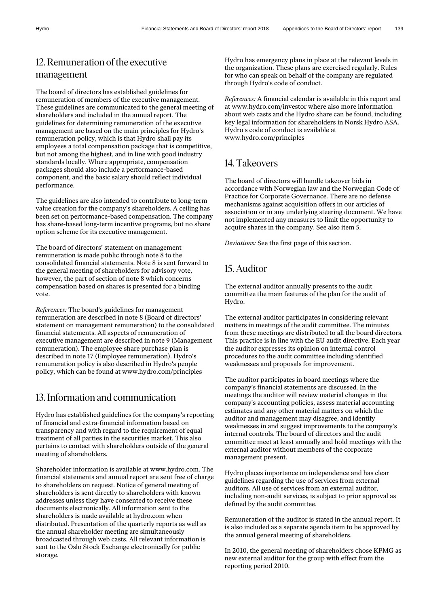# 12.Remuneration of the executive management

The board of directors has established guidelines for remuneration of members of the executive management. These guidelines are communicated to the general meeting of shareholders and included in the annual report. The guidelines for determining remuneration of the executive management are based on the main principles for Hydro's remuneration policy, which is that Hydro shall pay its employees a total compensation package that is competitive, but not among the highest, and in line with good industry standards locally. Where appropriate, compensation packages should also include a performance-based component, and the basic salary should reflect individual performance.

The guidelines are also intended to contribute to long-term value creation for the company's shareholders. A ceiling has been set on performance-based compensation. The company has share-based long-term incentive programs, but no share option scheme for its executive management.

The board of directors' statement on management remuneration is made public through note 8 to the consolidated financial statements. Note 8 is sent forward to the general meeting of shareholders for advisory vote, however, the part of section of note 8 which concerns compensation based on shares is presented for a binding vote.

*References:* The board's guidelines for management remuneration are described in note 8 (Board of directors' statement on management remuneration) to the consolidated financial statements. All aspects of remuneration of executive management are described in note 9 (Management remuneration). The employee share purchase plan is described in note 17 (Employee remuneration). Hydro's remuneration policy is also described in Hydro's people policy, which can be found at www.hydro.com/principles

# 13. Information and communication

Hydro has established guidelines for the company's reporting of financial and extra-financial information based on transparency and with regard to the requirement of equal treatment of all parties in the securities market. This also pertains to contact with shareholders outside of the general meeting of shareholders.

Shareholder information is available at www.hydro.com. The financial statements and annual report are sent free of charge to shareholders on request. Notice of general meeting of shareholders is sent directly to shareholders with known addresses unless they have consented to receive these documents electronically. All information sent to the shareholders is made available at hydro.com when distributed. Presentation of the quarterly reports as well as the annual shareholder meeting are simultaneously broadcasted through web casts. All relevant information is sent to the Oslo Stock Exchange electronically for public storage.

Hydro has emergency plans in place at the relevant levels in the organization. These plans are exercised regularly. Rules for who can speak on behalf of the company are regulated through Hydro's code of conduct.

*References:* A financial calendar is available in this report and at www.hydro.com/investor where also more information about web casts and the Hydro share can be found, including key legal information for shareholders in Norsk Hydro ASA. Hydro's code of conduct is available at www.hydro.com/principles

# 14. Takeovers

The board of directors will handle takeover bids in accordance with Norwegian law and the Norwegian Code of Practice for Corporate Governance. There are no defense mechanisms against acquisition offers in our articles of association or in any underlying steering document. We have not implemented any measures to limit the opportunity to acquire shares in the company. See also item 5.

*Deviations:* See the first page of this section.

# 15.Auditor

The external auditor annually presents to the audit committee the main features of the plan for the audit of Hydro.

The external auditor participates in considering relevant matters in meetings of the audit committee. The minutes from these meetings are distributed to all the board directors. This practice is in line with the EU audit directive. Each year the auditor expresses its opinion on internal control procedures to the audit committee including identified weaknesses and proposals for improvement.

The auditor participates in board meetings where the company's financial statements are discussed. In the meetings the auditor will review material changes in the company's accounting policies, assess material accounting estimates and any other material matters on which the auditor and management may disagree, and identify weaknesses in and suggest improvements to the company's internal controls. The board of directors and the audit committee meet at least annually and hold meetings with the external auditor without members of the corporate management present.

Hydro places importance on independence and has clear guidelines regarding the use of services from external auditors. All use of services from an external auditor, including non-audit services, is subject to prior approval as defined by the audit committee.

Remuneration of the auditor is stated in the annual report. It is also included as a separate agenda item to be approved by the annual general meeting of shareholders.

In 2010, the general meeting of shareholders chose KPMG as new external auditor for the group with effect from the reporting period 2010.